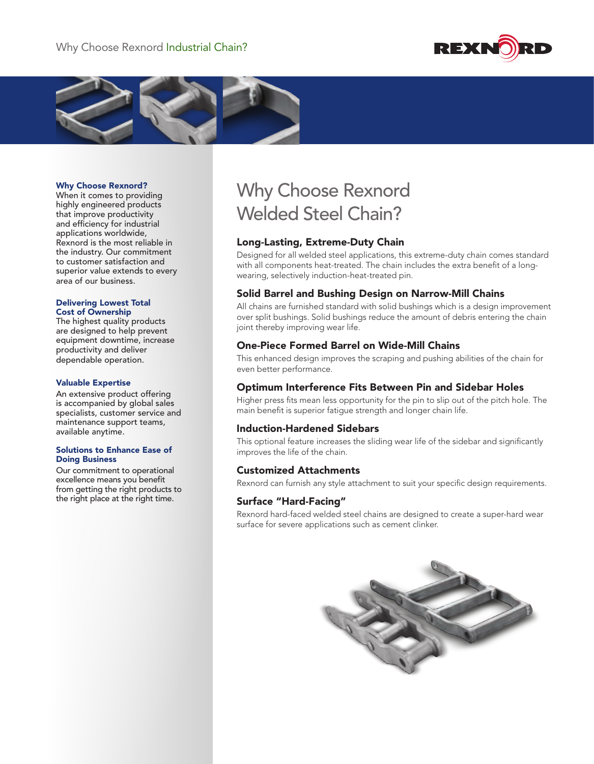



#### Why Choose Rexnord?

When it comes to providing highly engineered products that improve productivity and efficiency for industrial applications worldwide, Rexnord is the most reliable in the industry. Our commitment to customer satisfaction and superior value extends to every area of our business.

#### Delivering Lowest Total Cost of Ownership

The highest quality products are designed to help prevent equipment downtime, increase productivity and deliver dependable operation.

#### Valuable Expertise

An extensive product offering is accompanied by global sales specialists, customer service and maintenance support teams, available anytime.

#### Solutions to Enhance Ease of Doing Business

Our commitment to operational excellence means you benefit from getting the right products to the right place at the right time.

# Why Choose Rexnord Welded Steel Chain?

## Long-Lasting, Extreme-Duty Chain

Designed for all welded steel applications, this extreme-duty chain comes standard with all components heat-treated. The chain includes the extra benefit of a longwearing, selectively induction-heat-treated pin.

## Solid Barrel and Bushing Design on Narrow-Mill Chains

All chains are furnished standard with solid bushings which is a design improvement over split bushings. Solid bushings reduce the amount of debris entering the chain joint thereby improving wear life.

### One-Piece Formed Barrel on Wide-Mill Chains

This enhanced design improves the scraping and pushing abilities of the chain for even better performance.

## Optimum Interference Fits Between Pin and Sidebar Holes

Higher press fits mean less opportunity for the pin to slip out of the pitch hole. The main benefit is superior fatigue strength and longer chain life.

#### Induction-Hardened Sidebars

This optional feature increases the sliding wear life of the sidebar and significantly improves the life of the chain.

#### Customized Attachments

Rexnord can furnish any style attachment to suit your specific design requirements.

#### Surface "Hard-Facing"

Rexnord hard-faced welded steel chains are designed to create a super-hard wear surface for severe applications such as cement clinker.